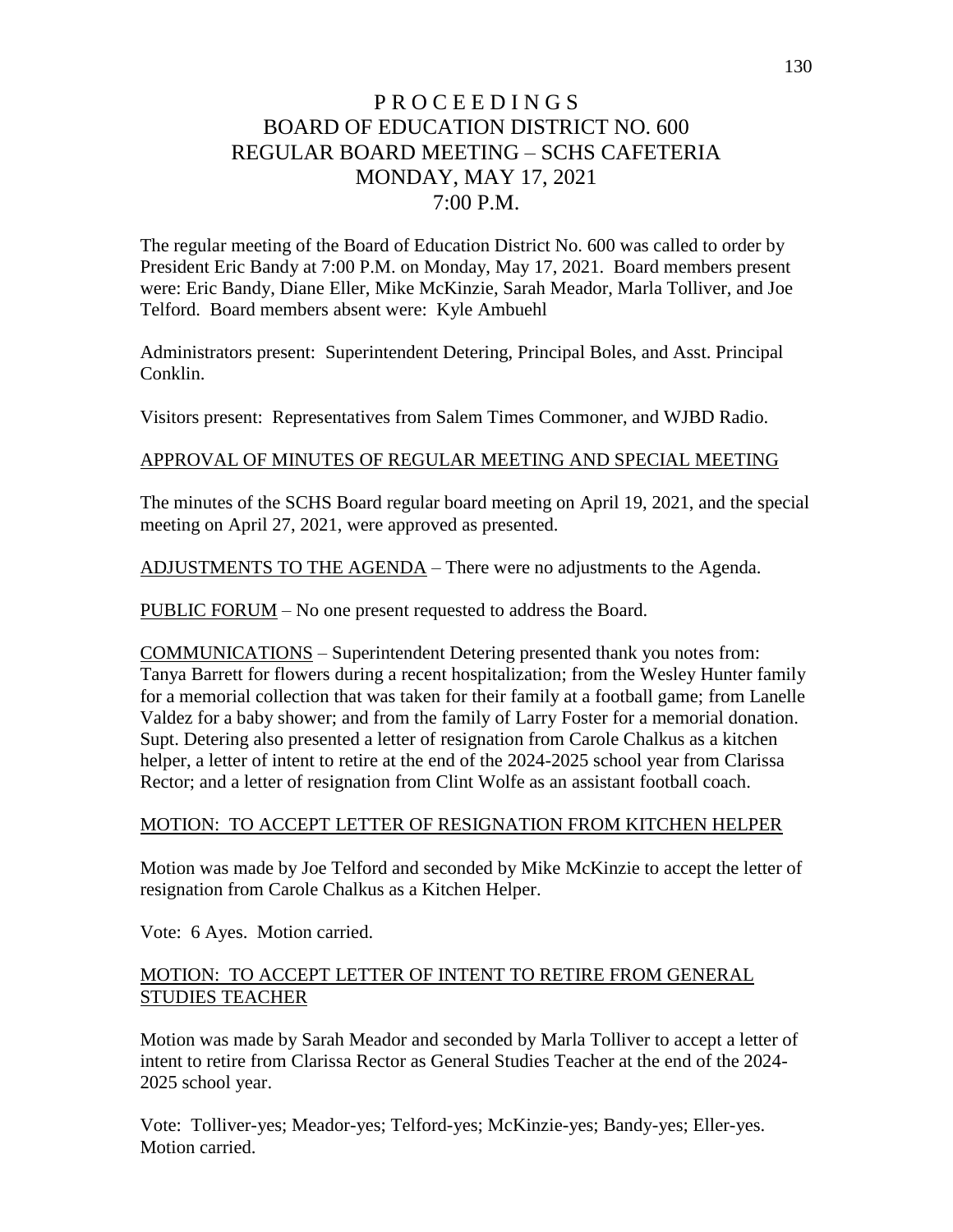# P R O C E E D I N G S BOARD OF EDUCATION DISTRICT NO. 600 REGULAR BOARD MEETING – SCHS CAFETERIA MONDAY, MAY 17, 2021 7:00 P.M.

The regular meeting of the Board of Education District No. 600 was called to order by President Eric Bandy at 7:00 P.M. on Monday, May 17, 2021. Board members present were: Eric Bandy, Diane Eller, Mike McKinzie, Sarah Meador, Marla Tolliver, and Joe Telford. Board members absent were: Kyle Ambuehl

Administrators present: Superintendent Detering, Principal Boles, and Asst. Principal Conklin.

Visitors present: Representatives from Salem Times Commoner, and WJBD Radio.

#### APPROVAL OF MINUTES OF REGULAR MEETING AND SPECIAL MEETING

The minutes of the SCHS Board regular board meeting on April 19, 2021, and the special meeting on April 27, 2021, were approved as presented.

ADJUSTMENTS TO THE AGENDA – There were no adjustments to the Agenda.

PUBLIC FORUM – No one present requested to address the Board.

COMMUNICATIONS – Superintendent Detering presented thank you notes from: Tanya Barrett for flowers during a recent hospitalization; from the Wesley Hunter family for a memorial collection that was taken for their family at a football game; from Lanelle Valdez for a baby shower; and from the family of Larry Foster for a memorial donation. Supt. Detering also presented a letter of resignation from Carole Chalkus as a kitchen helper, a letter of intent to retire at the end of the 2024-2025 school year from Clarissa Rector; and a letter of resignation from Clint Wolfe as an assistant football coach.

#### MOTION: TO ACCEPT LETTER OF RESIGNATION FROM KITCHEN HELPER

Motion was made by Joe Telford and seconded by Mike McKinzie to accept the letter of resignation from Carole Chalkus as a Kitchen Helper.

Vote: 6 Ayes. Motion carried.

### MOTION: TO ACCEPT LETTER OF INTENT TO RETIRE FROM GENERAL STUDIES TEACHER

Motion was made by Sarah Meador and seconded by Marla Tolliver to accept a letter of intent to retire from Clarissa Rector as General Studies Teacher at the end of the 2024- 2025 school year.

Vote: Tolliver-yes; Meador-yes; Telford-yes; McKinzie-yes; Bandy-yes; Eller-yes. Motion carried.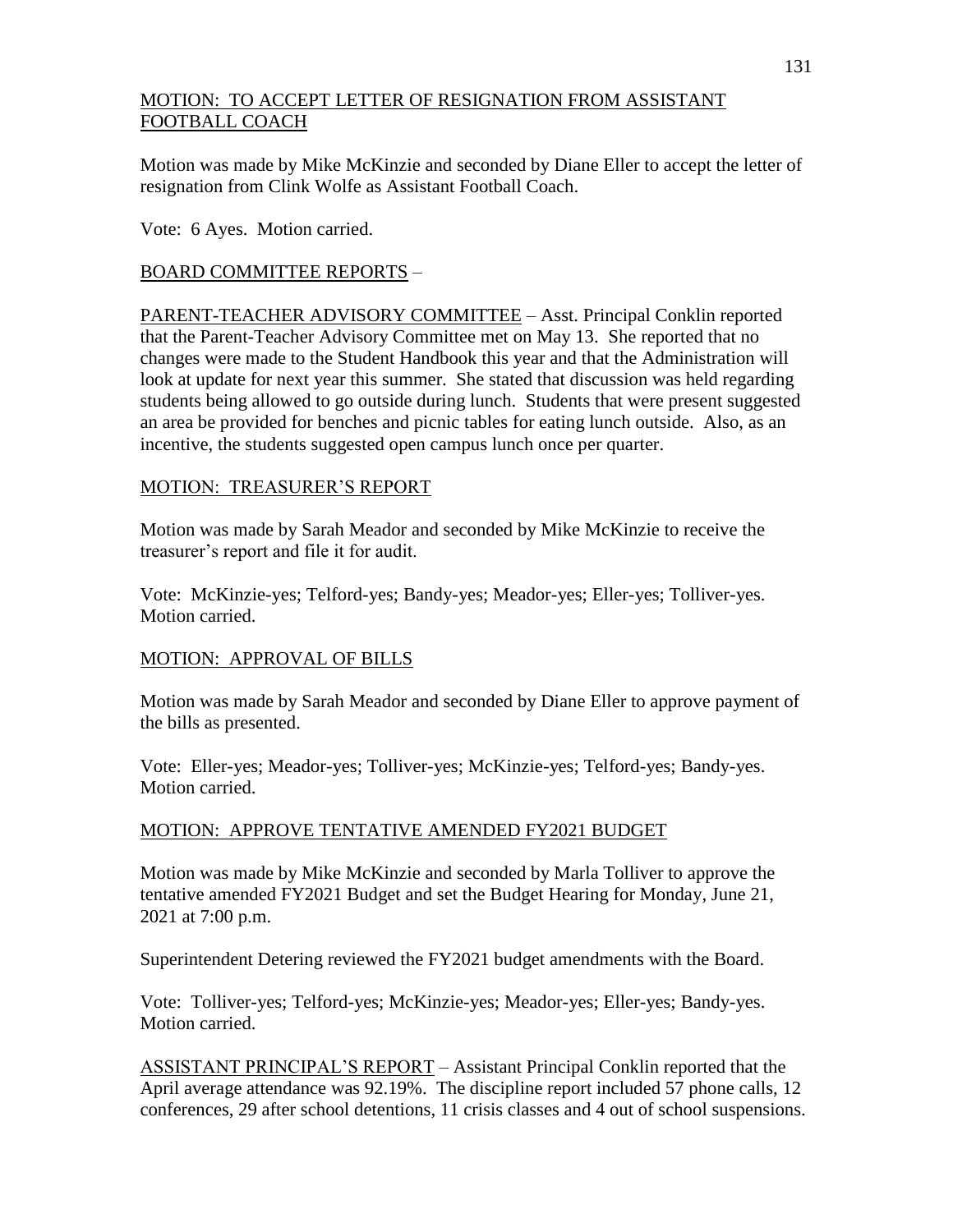## MOTION: TO ACCEPT LETTER OF RESIGNATION FROM ASSISTANT FOOTBALL COACH

Motion was made by Mike McKinzie and seconded by Diane Eller to accept the letter of resignation from Clink Wolfe as Assistant Football Coach.

Vote: 6 Ayes. Motion carried.

### BOARD COMMITTEE REPORTS –

PARENT-TEACHER ADVISORY COMMITTEE – Asst. Principal Conklin reported that the Parent-Teacher Advisory Committee met on May 13. She reported that no changes were made to the Student Handbook this year and that the Administration will look at update for next year this summer. She stated that discussion was held regarding students being allowed to go outside during lunch. Students that were present suggested an area be provided for benches and picnic tables for eating lunch outside. Also, as an incentive, the students suggested open campus lunch once per quarter.

### MOTION: TREASURER'S REPORT

Motion was made by Sarah Meador and seconded by Mike McKinzie to receive the treasurer's report and file it for audit.

Vote: McKinzie-yes; Telford-yes; Bandy-yes; Meador-yes; Eller-yes; Tolliver-yes. Motion carried.

## MOTION: APPROVAL OF BILLS

Motion was made by Sarah Meador and seconded by Diane Eller to approve payment of the bills as presented.

Vote: Eller-yes; Meador-yes; Tolliver-yes; McKinzie-yes; Telford-yes; Bandy-yes. Motion carried.

## MOTION: APPROVE TENTATIVE AMENDED FY2021 BUDGET

Motion was made by Mike McKinzie and seconded by Marla Tolliver to approve the tentative amended FY2021 Budget and set the Budget Hearing for Monday, June 21, 2021 at 7:00 p.m.

Superintendent Detering reviewed the FY2021 budget amendments with the Board.

Vote: Tolliver-yes; Telford-yes; McKinzie-yes; Meador-yes; Eller-yes; Bandy-yes. Motion carried.

ASSISTANT PRINCIPAL'S REPORT – Assistant Principal Conklin reported that the April average attendance was 92.19%. The discipline report included 57 phone calls, 12 conferences, 29 after school detentions, 11 crisis classes and 4 out of school suspensions.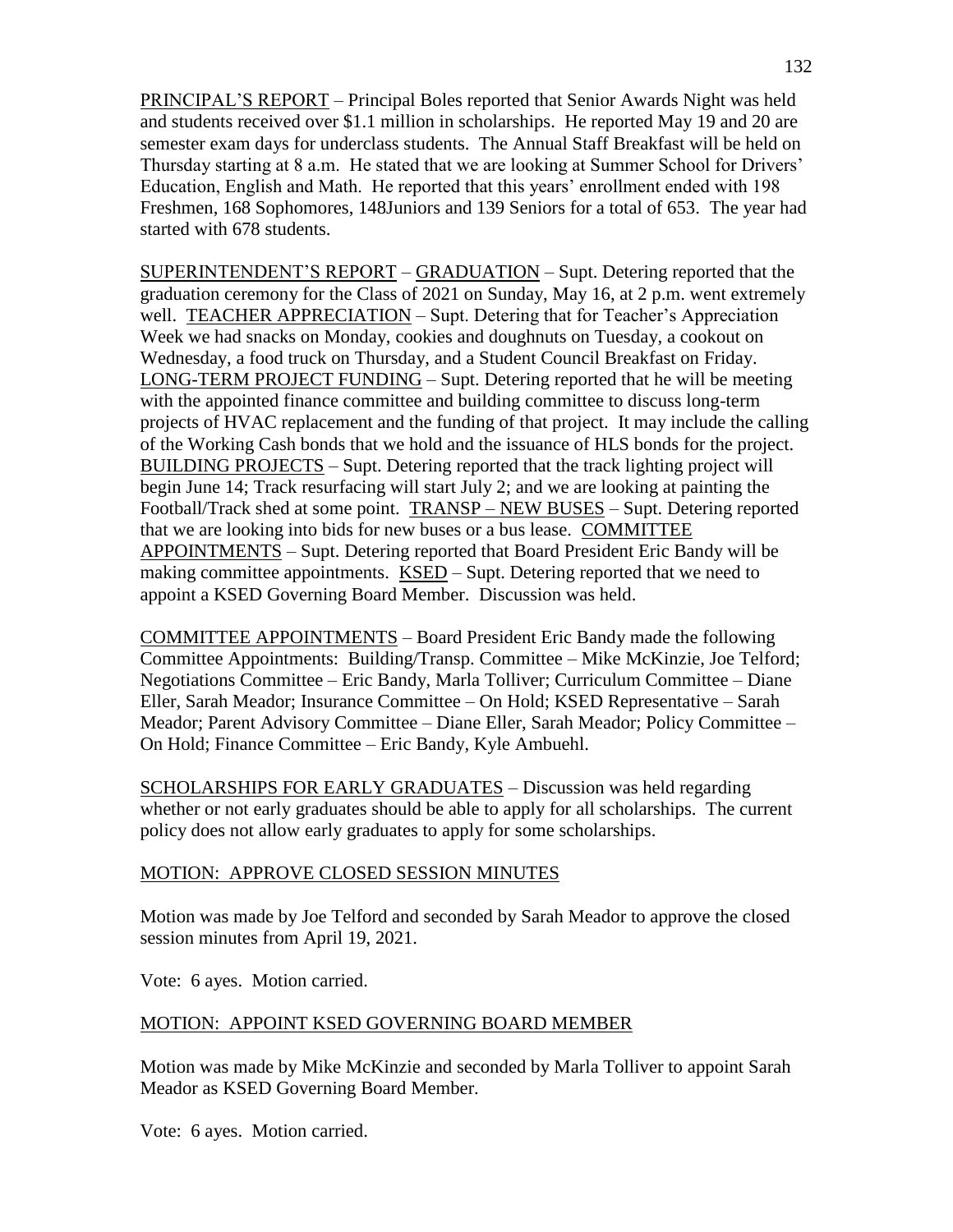PRINCIPAL'S REPORT – Principal Boles reported that Senior Awards Night was held and students received over \$1.1 million in scholarships. He reported May 19 and 20 are semester exam days for underclass students. The Annual Staff Breakfast will be held on Thursday starting at 8 a.m. He stated that we are looking at Summer School for Drivers' Education, English and Math. He reported that this years' enrollment ended with 198 Freshmen, 168 Sophomores, 148Juniors and 139 Seniors for a total of 653. The year had started with 678 students.

SUPERINTENDENT'S REPORT – GRADUATION – Supt. Detering reported that the graduation ceremony for the Class of 2021 on Sunday, May 16, at 2 p.m. went extremely well. TEACHER APPRECIATION – Supt. Detering that for Teacher's Appreciation Week we had snacks on Monday, cookies and doughnuts on Tuesday, a cookout on Wednesday, a food truck on Thursday, and a Student Council Breakfast on Friday. LONG-TERM PROJECT FUNDING – Supt. Detering reported that he will be meeting with the appointed finance committee and building committee to discuss long-term projects of HVAC replacement and the funding of that project. It may include the calling of the Working Cash bonds that we hold and the issuance of HLS bonds for the project. BUILDING PROJECTS – Supt. Detering reported that the track lighting project will begin June 14; Track resurfacing will start July 2; and we are looking at painting the Football/Track shed at some point. TRANSP – NEW BUSES – Supt. Detering reported that we are looking into bids for new buses or a bus lease. COMMITTEE APPOINTMENTS – Supt. Detering reported that Board President Eric Bandy will be making committee appointments. KSED – Supt. Detering reported that we need to appoint a KSED Governing Board Member. Discussion was held.

COMMITTEE APPOINTMENTS – Board President Eric Bandy made the following Committee Appointments: Building/Transp. Committee – Mike McKinzie, Joe Telford; Negotiations Committee – Eric Bandy, Marla Tolliver; Curriculum Committee – Diane Eller, Sarah Meador; Insurance Committee – On Hold; KSED Representative – Sarah Meador; Parent Advisory Committee – Diane Eller, Sarah Meador; Policy Committee – On Hold; Finance Committee – Eric Bandy, Kyle Ambuehl.

SCHOLARSHIPS FOR EARLY GRADUATES – Discussion was held regarding whether or not early graduates should be able to apply for all scholarships. The current policy does not allow early graduates to apply for some scholarships.

#### MOTION: APPROVE CLOSED SESSION MINUTES

Motion was made by Joe Telford and seconded by Sarah Meador to approve the closed session minutes from April 19, 2021.

Vote: 6 ayes. Motion carried.

#### MOTION: APPOINT KSED GOVERNING BOARD MEMBER

Motion was made by Mike McKinzie and seconded by Marla Tolliver to appoint Sarah Meador as KSED Governing Board Member.

Vote: 6 ayes. Motion carried.